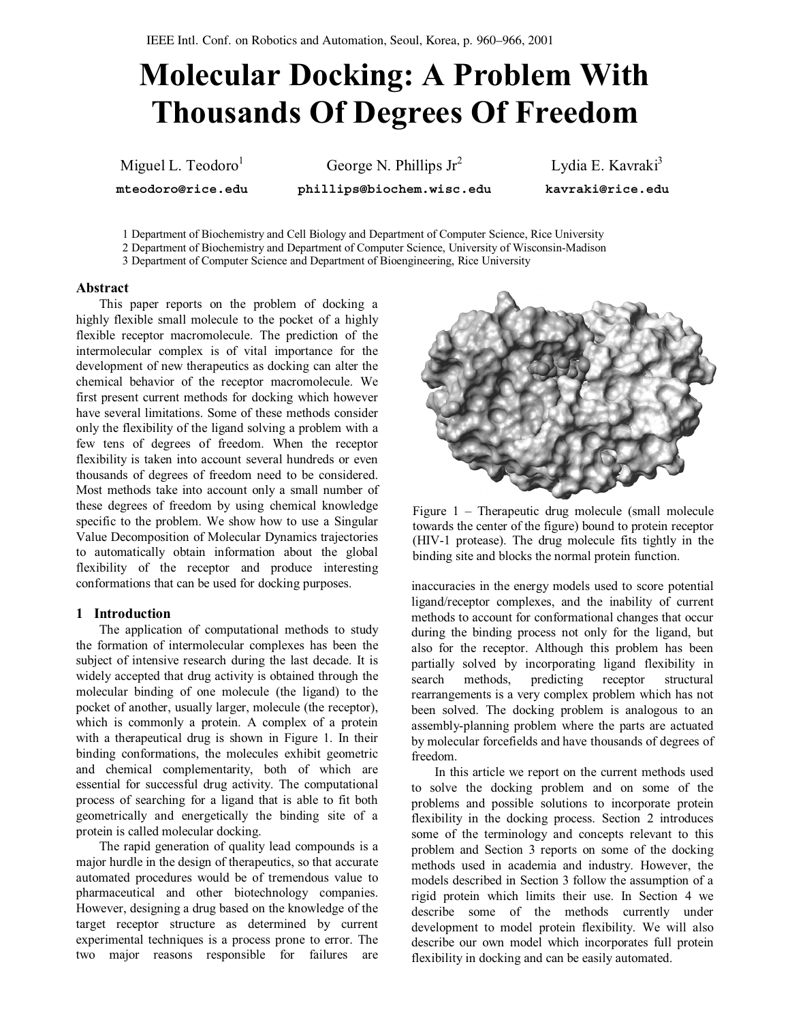# Molecular Docking: A Problem With Thousands Of Degrees Of Freedom

Miguel L. Teodoro<sup>1</sup>

mteodoro@rice.edu

George N. Phillips Jr<sup>2</sup>

phillips@biochem.wisc.edu

Lydia E. Kavraki<sup>3</sup> kavraki@rice.edu

1 Department of Biochemistry and Cell Biology and Department of Computer Science, Rice University

2 Department of Biochemistry and Department of Computer Science, University of Wisconsin-Madison

3 Department of Computer Science and Department of Bioengineering, Rice University

#### Abstract

This paper reports on the problem of docking a highly flexible small molecule to the pocket of a highly flexible receptor macromolecule. The prediction of the intermolecular complex is of vital importance for the development of new therapeutics as docking can alter the chemical behavior of the receptor macromolecule. We first present current methods for docking which however have several limitations. Some of these methods consider only the flexibility of the ligand solving a problem with a few tens of degrees of freedom. When the receptor flexibility is taken into account several hundreds or even thousands of degrees of freedom need to be considered. Most methods take into account only a small number of these degrees of freedom by using chemical knowledge specific to the problem. We show how to use a Singular Value Decomposition of Molecular Dynamics trajectories to automatically obtain information about the global flexibility of the receptor and produce interesting conformations that can be used for docking purposes.

## 1 Introduction

The application of computational methods to study the formation of intermolecular complexes has been the subject of intensive research during the last decade. It is widely accepted that drug activity is obtained through the molecular binding of one molecule (the ligand) to the pocket of another, usually larger, molecule (the receptor), which is commonly a protein. A complex of a protein with a therapeutical drug is shown in Figure 1. In their binding conformations, the molecules exhibit geometric and chemical complementarity, both of which are essential for successful drug activity. The computational process of searching for a ligand that is able to fit both geometrically and energetically the binding site of a protein is called molecular docking.

The rapid generation of quality lead compounds is a major hurdle in the design of therapeutics, so that accurate automated procedures would be of tremendous value to pharmaceutical and other biotechnology companies. However, designing a drug based on the knowledge of the target receptor structure as determined by current experimental techniques is a process prone to error. The two major reasons responsible for failures are



Figure 1 – Therapeutic drug molecule (small molecule towards the center of the figure) bound to protein receptor (HIV-1 protease). The drug molecule fits tightly in the binding site and blocks the normal protein function.

inaccuracies in the energy models used to score potential ligand/receptor complexes, and the inability of current methods to account for conformational changes that occur during the binding process not only for the ligand, but also for the receptor. Although this problem has been partially solved by incorporating ligand flexibility in search methods, predicting receptor structural rearrangements is a very complex problem which has not been solved. The docking problem is analogous to an assembly-planning problem where the parts are actuated by molecular forcefields and have thousands of degrees of freedom.

In this article we report on the current methods used to solve the docking problem and on some of the problems and possible solutions to incorporate protein flexibility in the docking process. Section 2 introduces some of the terminology and concepts relevant to this problem and Section 3 reports on some of the docking methods used in academia and industry. However, the models described in Section 3 follow the assumption of a rigid protein which limits their use. In Section 4 we describe some of the methods currently under development to model protein flexibility. We will also describe our own model which incorporates full protein flexibility in docking and can be easily automated.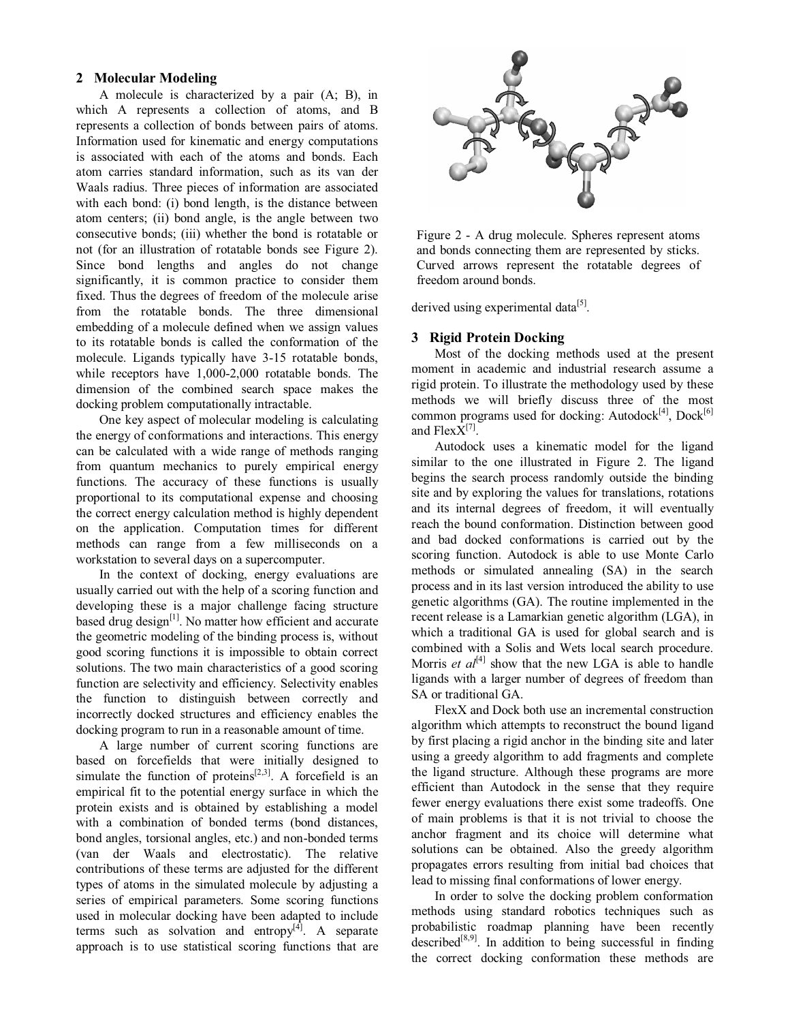## 2 Molecular Modeling

A molecule is characterized by a pair (A; B), in which A represents a collection of atoms, and B represents a collection of bonds between pairs of atoms. Information used for kinematic and energy computations is associated with each of the atoms and bonds. Each atom carries standard information, such as its van der Waals radius. Three pieces of information are associated with each bond: (i) bond length, is the distance between atom centers; (ii) bond angle, is the angle between two consecutive bonds; (iii) whether the bond is rotatable or not (for an illustration of rotatable bonds see Figure 2). Since bond lengths and angles do not change significantly, it is common practice to consider them fixed. Thus the degrees of freedom of the molecule arise from the rotatable bonds. The three dimensional embedding of a molecule defined when we assign values to its rotatable bonds is called the conformation of the molecule. Ligands typically have 3-15 rotatable bonds, while receptors have 1,000-2,000 rotatable bonds. The dimension of the combined search space makes the docking problem computationally intractable.

One key aspect of molecular modeling is calculating the energy of conformations and interactions. This energy can be calculated with a wide range of methods ranging from quantum mechanics to purely empirical energy functions. The accuracy of these functions is usually proportional to its computational expense and choosing the correct energy calculation method is highly dependent on the application. Computation times for different methods can range from a few milliseconds on a workstation to several days on a supercomputer.

In the context of docking, energy evaluations are usually carried out with the help of a scoring function and developing these is a major challenge facing structure based drug design<sup>[1]</sup>. No matter how efficient and accurate the geometric modeling of the binding process is, without good scoring functions it is impossible to obtain correct solutions. The two main characteristics of a good scoring function are selectivity and efficiency. Selectivity enables the function to distinguish between correctly and incorrectly docked structures and efficiency enables the docking program to run in a reasonable amount of time.

A large number of current scoring functions are based on forcefields that were initially designed to simulate the function of proteins<sup>[2,3]</sup>. A forcefield is an empirical fit to the potential energy surface in which the protein exists and is obtained by establishing a model with a combination of bonded terms (bond distances, bond angles, torsional angles, etc.) and non-bonded terms (van der Waals and electrostatic). The relative contributions of these terms are adjusted for the different types of atoms in the simulated molecule by adjusting a series of empirical parameters. Some scoring functions used in molecular docking have been adapted to include terms such as solvation and entropy<sup>[4]</sup>. A separate approach is to use statistical scoring functions that are



Figure 2 - A drug molecule. Spheres represent atoms and bonds connecting them are represented by sticks. Curved arrows represent the rotatable degrees of freedom around bonds.

derived using experimental data<sup>[5]</sup>.

#### 3 Rigid Protein Docking

Most of the docking methods used at the present moment in academic and industrial research assume a rigid protein. To illustrate the methodology used by these methods we will briefly discuss three of the most common programs used for docking: Autodock<sup>[4]</sup>, Dock<sup>[6]</sup> and  $FlexX^{[7]}$ .

Autodock uses a kinematic model for the ligand similar to the one illustrated in Figure 2. The ligand begins the search process randomly outside the binding site and by exploring the values for translations, rotations and its internal degrees of freedom, it will eventually reach the bound conformation. Distinction between good and bad docked conformations is carried out by the scoring function. Autodock is able to use Monte Carlo methods or simulated annealing (SA) in the search process and in its last version introduced the ability to use genetic algorithms (GA). The routine implemented in the recent release is a Lamarkian genetic algorithm (LGA), in which a traditional GA is used for global search and is combined with a Solis and Wets local search procedure. Morris *et al*<sup>[4]</sup> show that the new LGA is able to handle ligands with a larger number of degrees of freedom than SA or traditional GA.

FlexX and Dock both use an incremental construction algorithm which attempts to reconstruct the bound ligand by first placing a rigid anchor in the binding site and later using a greedy algorithm to add fragments and complete the ligand structure. Although these programs are more efficient than Autodock in the sense that they require fewer energy evaluations there exist some tradeoffs. One of main problems is that it is not trivial to choose the anchor fragment and its choice will determine what solutions can be obtained. Also the greedy algorithm propagates errors resulting from initial bad choices that lead to missing final conformations of lower energy.

In order to solve the docking problem conformation methods using standard robotics techniques such as probabilistic roadmap planning have been recently described<sup>[8,9]</sup>. In addition to being successful in finding the correct docking conformation these methods are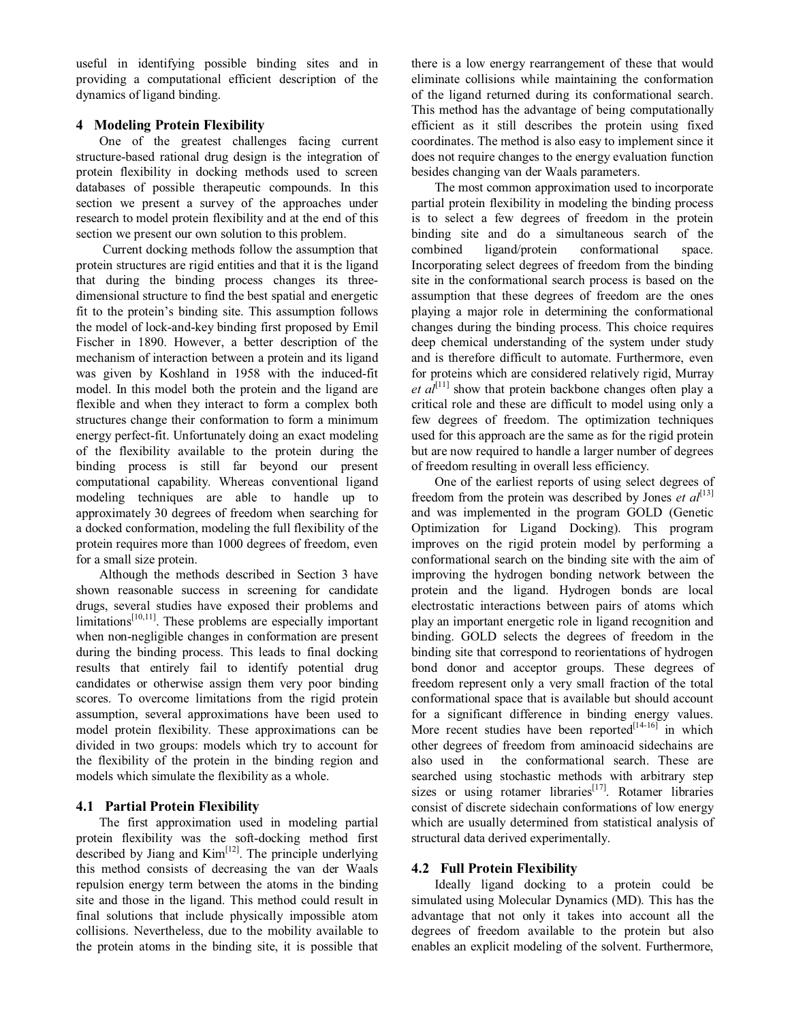useful in identifying possible binding sites and in providing a computational efficient description of the dynamics of ligand binding.

## 4 Modeling Protein Flexibility

One of the greatest challenges facing current structure-based rational drug design is the integration of protein flexibility in docking methods used to screen databases of possible therapeutic compounds. In this section we present a survey of the approaches under research to model protein flexibility and at the end of this section we present our own solution to this problem.

Current docking methods follow the assumption that protein structures are rigid entities and that it is the ligand that during the binding process changes its threedimensional structure to find the best spatial and energetic fit to the protein's binding site. This assumption follows the model of lock-and-key binding first proposed by Emil Fischer in 1890. However, a better description of the mechanism of interaction between a protein and its ligand was given by Koshland in 1958 with the induced-fit model. In this model both the protein and the ligand are flexible and when they interact to form a complex both structures change their conformation to form a minimum energy perfect-fit. Unfortunately doing an exact modeling of the flexibility available to the protein during the binding process is still far beyond our present computational capability. Whereas conventional ligand modeling techniques are able to handle up to approximately 30 degrees of freedom when searching for a docked conformation, modeling the full flexibility of the protein requires more than 1000 degrees of freedom, even for a small size protein.

Although the methods described in Section 3 have shown reasonable success in screening for candidate drugs, several studies have exposed their problems and limitations<sup>[10,11]</sup>. These problems are especially important when non-negligible changes in conformation are present during the binding process. This leads to final docking results that entirely fail to identify potential drug candidates or otherwise assign them very poor binding scores. To overcome limitations from the rigid protein assumption, several approximations have been used to model protein flexibility. These approximations can be divided in two groups: models which try to account for the flexibility of the protein in the binding region and models which simulate the flexibility as a whole.

# 4.1 Partial Protein Flexibility

The first approximation used in modeling partial protein flexibility was the soft-docking method first described by Jiang and Kim<sup>[12]</sup>. The principle underlying this method consists of decreasing the van der Waals repulsion energy term between the atoms in the binding site and those in the ligand. This method could result in final solutions that include physically impossible atom collisions. Nevertheless, due to the mobility available to the protein atoms in the binding site, it is possible that there is a low energy rearrangement of these that would eliminate collisions while maintaining the conformation of the ligand returned during its conformational search. This method has the advantage of being computationally efficient as it still describes the protein using fixed coordinates. The method is also easy to implement since it does not require changes to the energy evaluation function besides changing van der Waals parameters.

The most common approximation used to incorporate partial protein flexibility in modeling the binding process is to select a few degrees of freedom in the protein binding site and do a simultaneous search of the combined ligand/protein conformational space. Incorporating select degrees of freedom from the binding site in the conformational search process is based on the assumption that these degrees of freedom are the ones playing a major role in determining the conformational changes during the binding process. This choice requires deep chemical understanding of the system under study and is therefore difficult to automate. Furthermore, even for proteins which are considered relatively rigid, Murray et  $al^{[11]}$  show that protein backbone changes often play a critical role and these are difficult to model using only a few degrees of freedom. The optimization techniques used for this approach are the same as for the rigid protein but are now required to handle a larger number of degrees of freedom resulting in overall less efficiency.

One of the earliest reports of using select degrees of freedom from the protein was described by Jones et  $al^{[13]}$ and was implemented in the program GOLD (Genetic Optimization for Ligand Docking). This program improves on the rigid protein model by performing a conformational search on the binding site with the aim of improving the hydrogen bonding network between the protein and the ligand. Hydrogen bonds are local electrostatic interactions between pairs of atoms which play an important energetic role in ligand recognition and binding. GOLD selects the degrees of freedom in the binding site that correspond to reorientations of hydrogen bond donor and acceptor groups. These degrees of freedom represent only a very small fraction of the total conformational space that is available but should account for a significant difference in binding energy values. More recent studies have been reported $[14-16]$  in which other degrees of freedom from aminoacid sidechains are also used in the conformational search. These are searched using stochastic methods with arbitrary step sizes or using rotamer libraries<sup>[17]</sup>. Rotamer libraries consist of discrete sidechain conformations of low energy which are usually determined from statistical analysis of structural data derived experimentally.

# 4.2 Full Protein Flexibility

Ideally ligand docking to a protein could be simulated using Molecular Dynamics (MD). This has the advantage that not only it takes into account all the degrees of freedom available to the protein but also enables an explicit modeling of the solvent. Furthermore,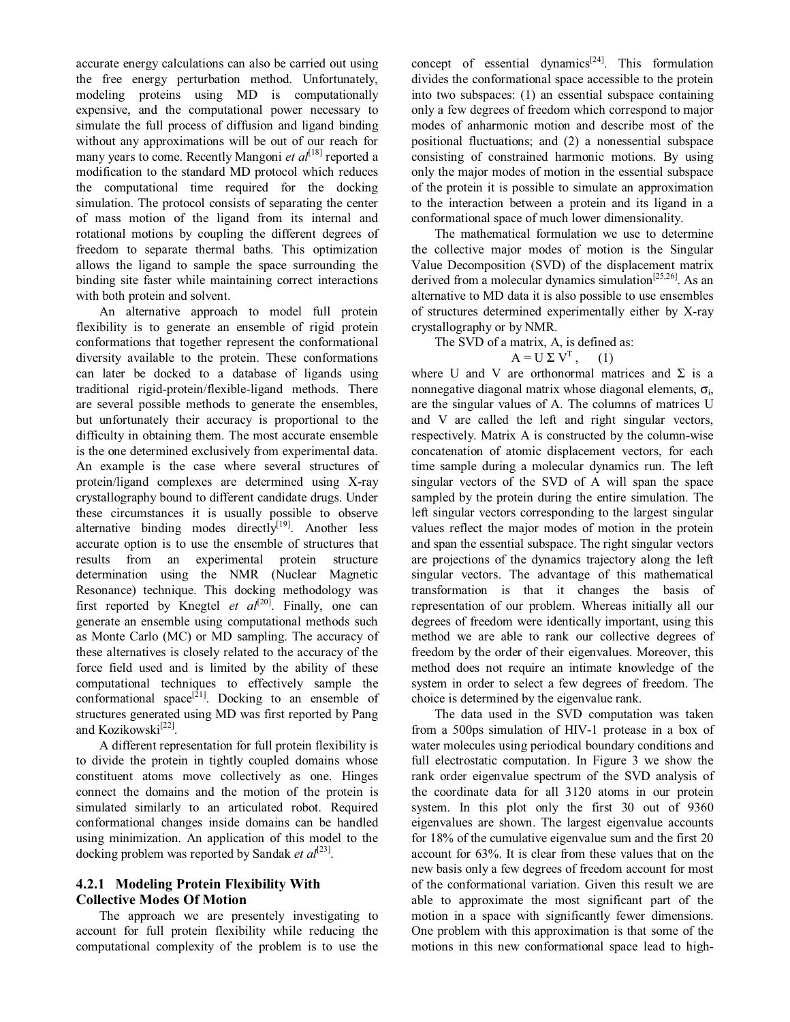accurate energy calculations can also be carried out using the free energy perturbation method. Unfortunately, modeling proteins using MD is computationally expensive, and the computational power necessary to simulate the full process of diffusion and ligand binding without any approximations will be out of our reach for many years to come. Recently Mangoni et al<sup>[18]</sup> reported a modification to the standard MD protocol which reduces the computational time required for the docking simulation. The protocol consists of separating the center of mass motion of the ligand from its internal and rotational motions by coupling the different degrees of freedom to separate thermal baths. This optimization allows the ligand to sample the space surrounding the binding site faster while maintaining correct interactions with both protein and solvent.

An alternative approach to model full protein flexibility is to generate an ensemble of rigid protein conformations that together represent the conformational diversity available to the protein. These conformations can later be docked to a database of ligands using traditional rigid-protein/flexible-ligand methods. There are several possible methods to generate the ensembles, but unfortunately their accuracy is proportional to the difficulty in obtaining them. The most accurate ensemble is the one determined exclusively from experimental data. An example is the case where several structures of protein/ligand complexes are determined using X-ray crystallography bound to different candidate drugs. Under these circumstances it is usually possible to observe alternative binding modes directly<sup>[19]</sup>. Another less accurate option is to use the ensemble of structures that results from an experimental protein structure determination using the NMR (Nuclear Magnetic Resonance) technique. This docking methodology was first reported by Knegtel *et al*<sup>[20]</sup>. Finally, one can generate an ensemble using computational methods such as Monte Carlo (MC) or MD sampling. The accuracy of these alternatives is closely related to the accuracy of the force field used and is limited by the ability of these computational techniques to effectively sample the conformational space<sup>[21]</sup>. Docking to an ensemble of structures generated using MD was first reported by Pang and Kozikowski<sup>[22]</sup>.

A different representation for full protein flexibility is to divide the protein in tightly coupled domains whose constituent atoms move collectively as one. Hinges connect the domains and the motion of the protein is simulated similarly to an articulated robot. Required conformational changes inside domains can be handled using minimization. An application of this model to the docking problem was reported by Sandak et  $al^{[23]}$ .

## 4.2.1 Modeling Protein Flexibility With Collective Modes Of Motion

The approach we are presentely investigating to account for full protein flexibility while reducing the computational complexity of the problem is to use the

concept of essential dynamics<sup>[24]</sup>. This formulation divides the conformational space accessible to the protein into two subspaces: (1) an essential subspace containing only a few degrees of freedom which correspond to major modes of anharmonic motion and describe most of the positional fluctuations; and (2) a nonessential subspace consisting of constrained harmonic motions. By using only the major modes of motion in the essential subspace of the protein it is possible to simulate an approximation to the interaction between a protein and its ligand in a conformational space of much lower dimensionality.

The mathematical formulation we use to determine the collective major modes of motion is the Singular Value Decomposition (SVD) of the displacement matrix derived from a molecular dynamics simulation<sup>[25,26]</sup>. As an alternative to MD data it is also possible to use ensembles of structures determined experimentally either by X-ray crystallography or by NMR.

The SVD of a matrix, A, is defined as:

## $A = U \Sigma V^{T},$  (1)

where U and V are orthonormal matrices and  $\Sigma$  is a nonnegative diagonal matrix whose diagonal elements,  $\sigma_i$ , are the singular values of A. The columns of matrices U and V are called the left and right singular vectors, respectively. Matrix A is constructed by the column-wise concatenation of atomic displacement vectors, for each time sample during a molecular dynamics run. The left singular vectors of the SVD of A will span the space sampled by the protein during the entire simulation. The left singular vectors corresponding to the largest singular values reflect the major modes of motion in the protein and span the essential subspace. The right singular vectors are projections of the dynamics trajectory along the left singular vectors. The advantage of this mathematical transformation is that it changes the basis of representation of our problem. Whereas initially all our degrees of freedom were identically important, using this method we are able to rank our collective degrees of freedom by the order of their eigenvalues. Moreover, this method does not require an intimate knowledge of the system in order to select a few degrees of freedom. The choice is determined by the eigenvalue rank.

The data used in the SVD computation was taken from a 500ps simulation of HIV-1 protease in a box of water molecules using periodical boundary conditions and full electrostatic computation. In Figure 3 we show the rank order eigenvalue spectrum of the SVD analysis of the coordinate data for all 3120 atoms in our protein system. In this plot only the first 30 out of 9360 eigenvalues are shown. The largest eigenvalue accounts for 18% of the cumulative eigenvalue sum and the first 20 account for 63%. It is clear from these values that on the new basis only a few degrees of freedom account for most of the conformational variation. Given this result we are able to approximate the most significant part of the motion in a space with significantly fewer dimensions. One problem with this approximation is that some of the motions in this new conformational space lead to high-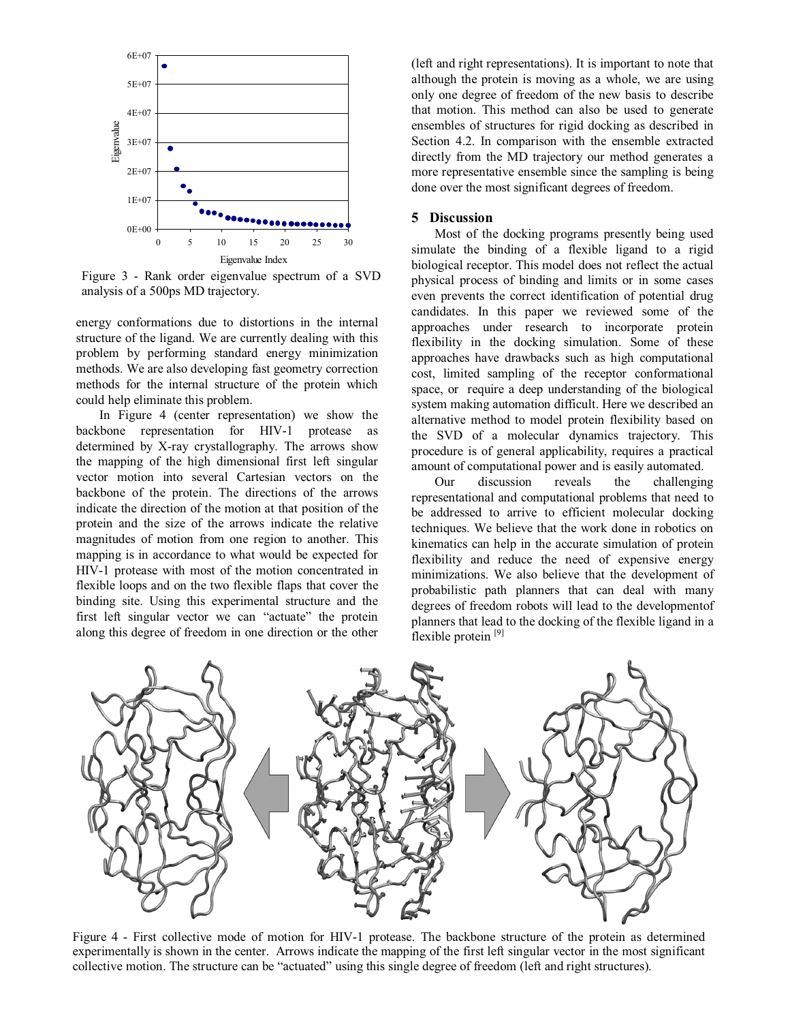

Figure 3 - Rank order eigenvalue spectrum of a SVD analysis of a 500ps MD trajectory.

energy conformations due to distortions in the internal structure of the ligand. We are currently dealing with this problem by performing standard energy minimization methods. We are also developing fast geometry correction methods for the internal structure of the protein which could help eliminate this problem.

In Figure 4 (center representation) we show the backbone representation for HIV-1 protease as determined by X-ray crystallography. The arrows show the mapping of the high dimensional first left singular vector motion into several Cartesian vectors on the backbone of the protein. The directions of the arrows indicate the direction of the motion at that position of the protein and the size of the arrows indicate the relative magnitudes of motion from one region to another. This mapping is in accordance to what would be expected for HIV-1 protease with most of the motion concentrated in flexible loops and on the two flexible flaps that cover the binding site. Using this experimental structure and the first left singular vector we can "actuate" the protein along this degree of freedom in one direction or the other (left and right representations). It is important to note that although the protein is moving as a whole, we are using only one degree of freedom of the new basis to describe that motion. This method can also be used to generate ensembles of structures for rigid docking as described in Section 4.2. In comparison with the ensemble extracted directly from the MD trajectory our method generates a more representative ensemble since the sampling is being done over the most significant degrees of freedom.

#### 5 Discussion

Most of the docking programs presently being used simulate the binding of a flexible ligand to a rigid biological receptor. This model does not reflect the actual physical process of binding and limits or in some cases even prevents the correct identification of potential drug candidates. In this paper we reviewed some of the approaches under research to incorporate protein flexibility in the docking simulation. Some of these approaches have drawbacks such as high computational cost, limited sampling of the receptor conformational space, or require a deep understanding of the biological system making automation difficult. Here we described an alternative method to model protein flexibility based on the SVD of a molecular dynamics trajectory. This procedure is of general applicability, requires a practical amount of computational power and is easily automated.

Our discussion reveals the challenging representational and computational problems that need to be addressed to arrive to efficient molecular docking techniques. We believe that the work done in robotics on kinematics can help in the accurate simulation of protein flexibility and reduce the need of expensive energy minimizations. We also believe that the development of probabilistic path planners that can deal with many degrees of freedom robots will lead to the developmentof planners that lead to the docking of the flexible ligand in a flexible protein<sup>[9]</sup>



Figure 4 - First collective mode of motion for HIV-1 protease. The backbone structure of the protein as determined experimentally is shown in the center. Arrows indicate the mapping of the first left singular vector in the most significant collective motion. The structure can be "actuated" using this single degree of freedom (left and right structures).